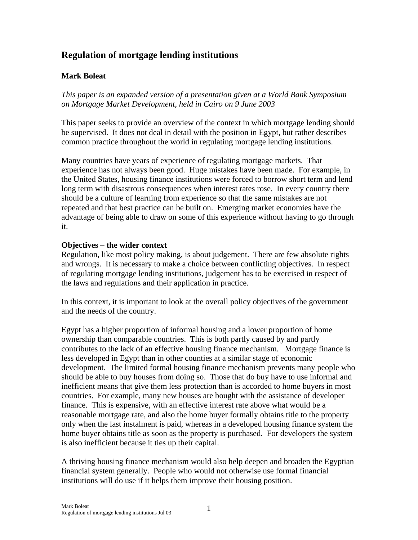# **Regulation of mortgage lending institutions**

# **Mark Boleat**

*This paper is an expanded version of a presentation given at a World Bank Symposium on Mortgage Market Development, held in Cairo on 9 June 2003* 

This paper seeks to provide an overview of the context in which mortgage lending should be supervised. It does not deal in detail with the position in Egypt, but rather describes common practice throughout the world in regulating mortgage lending institutions.

Many countries have years of experience of regulating mortgage markets. That experience has not always been good. Huge mistakes have been made. For example, in the United States, housing finance institutions were forced to borrow short term and lend long term with disastrous consequences when interest rates rose. In every country there should be a culture of learning from experience so that the same mistakes are not repeated and that best practice can be built on. Emerging market economies have the advantage of being able to draw on some of this experience without having to go through it.

# **Objectives – the wider context**

Regulation, like most policy making, is about judgement. There are few absolute rights and wrongs. It is necessary to make a choice between conflicting objectives. In respect of regulating mortgage lending institutions, judgement has to be exercised in respect of the laws and regulations and their application in practice.

In this context, it is important to look at the overall policy objectives of the government and the needs of the country.

Egypt has a higher proportion of informal housing and a lower proportion of home ownership than comparable countries. This is both partly caused by and partly contributes to the lack of an effective housing finance mechanism. Mortgage finance is less developed in Egypt than in other counties at a similar stage of economic development. The limited formal housing finance mechanism prevents many people who should be able to buy houses from doing so. Those that do buy have to use informal and inefficient means that give them less protection than is accorded to home buyers in most countries. For example, many new houses are bought with the assistance of developer finance. This is expensive, with an effective interest rate above what would be a reasonable mortgage rate, and also the home buyer formally obtains title to the property only when the last instalment is paid, whereas in a developed housing finance system the home buyer obtains title as soon as the property is purchased. For developers the system is also inefficient because it ties up their capital.

A thriving housing finance mechanism would also help deepen and broaden the Egyptian financial system generally. People who would not otherwise use formal financial institutions will do use if it helps them improve their housing position.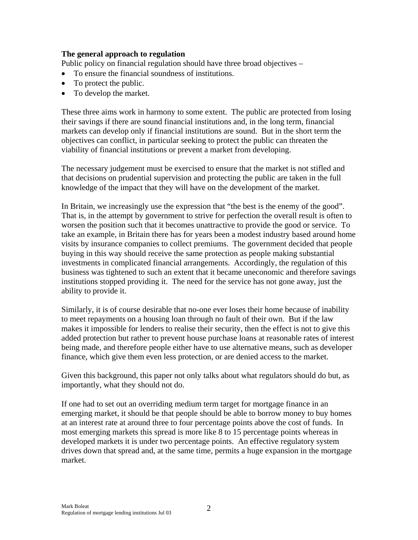#### **The general approach to regulation**

Public policy on financial regulation should have three broad objectives –

- To ensure the financial soundness of institutions.
- To protect the public.
- To develop the market.

These three aims work in harmony to some extent. The public are protected from losing their savings if there are sound financial institutions and, in the long term, financial markets can develop only if financial institutions are sound. But in the short term the objectives can conflict, in particular seeking to protect the public can threaten the viability of financial institutions or prevent a market from developing.

The necessary judgement must be exercised to ensure that the market is not stifled and that decisions on prudential supervision and protecting the public are taken in the full knowledge of the impact that they will have on the development of the market.

In Britain, we increasingly use the expression that "the best is the enemy of the good". That is, in the attempt by government to strive for perfection the overall result is often to worsen the position such that it becomes unattractive to provide the good or service. To take an example, in Britain there has for years been a modest industry based around home visits by insurance companies to collect premiums. The government decided that people buying in this way should receive the same protection as people making substantial investments in complicated financial arrangements. Accordingly, the regulation of this business was tightened to such an extent that it became uneconomic and therefore savings institutions stopped providing it. The need for the service has not gone away, just the ability to provide it.

Similarly, it is of course desirable that no-one ever loses their home because of inability to meet repayments on a housing loan through no fault of their own. But if the law makes it impossible for lenders to realise their security, then the effect is not to give this added protection but rather to prevent house purchase loans at reasonable rates of interest being made, and therefore people either have to use alternative means, such as developer finance, which give them even less protection, or are denied access to the market.

Given this background, this paper not only talks about what regulators should do but, as importantly, what they should not do.

If one had to set out an overriding medium term target for mortgage finance in an emerging market, it should be that people should be able to borrow money to buy homes at an interest rate at around three to four percentage points above the cost of funds. In most emerging markets this spread is more like 8 to 15 percentage points whereas in developed markets it is under two percentage points. An effective regulatory system drives down that spread and, at the same time, permits a huge expansion in the mortgage market.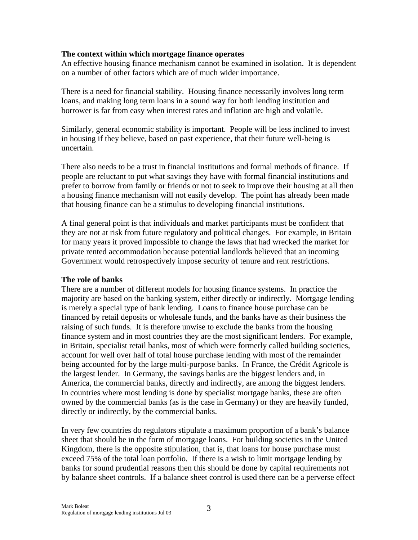#### **The context within which mortgage finance operates**

An effective housing finance mechanism cannot be examined in isolation. It is dependent on a number of other factors which are of much wider importance.

There is a need for financial stability. Housing finance necessarily involves long term loans, and making long term loans in a sound way for both lending institution and borrower is far from easy when interest rates and inflation are high and volatile.

Similarly, general economic stability is important. People will be less inclined to invest in housing if they believe, based on past experience, that their future well-being is uncertain.

There also needs to be a trust in financial institutions and formal methods of finance. If people are reluctant to put what savings they have with formal financial institutions and prefer to borrow from family or friends or not to seek to improve their housing at all then a housing finance mechanism will not easily develop. The point has already been made that housing finance can be a stimulus to developing financial institutions.

A final general point is that individuals and market participants must be confident that they are not at risk from future regulatory and political changes. For example, in Britain for many years it proved impossible to change the laws that had wrecked the market for private rented accommodation because potential landlords believed that an incoming Government would retrospectively impose security of tenure and rent restrictions.

#### **The role of banks**

There are a number of different models for housing finance systems. In practice the majority are based on the banking system, either directly or indirectly. Mortgage lending is merely a special type of bank lending. Loans to finance house purchase can be financed by retail deposits or wholesale funds, and the banks have as their business the raising of such funds. It is therefore unwise to exclude the banks from the housing finance system and in most countries they are the most significant lenders. For example, in Britain, specialist retail banks, most of which were formerly called building societies, account for well over half of total house purchase lending with most of the remainder being accounted for by the large multi-purpose banks. In France, the Crédit Agricole is the largest lender. In Germany, the savings banks are the biggest lenders and, in America, the commercial banks, directly and indirectly, are among the biggest lenders. In countries where most lending is done by specialist mortgage banks, these are often owned by the commercial banks (as is the case in Germany) or they are heavily funded, directly or indirectly, by the commercial banks.

In very few countries do regulators stipulate a maximum proportion of a bank's balance sheet that should be in the form of mortgage loans. For building societies in the United Kingdom, there is the opposite stipulation, that is, that loans for house purchase must exceed 75% of the total loan portfolio. If there is a wish to limit mortgage lending by banks for sound prudential reasons then this should be done by capital requirements not by balance sheet controls. If a balance sheet control is used there can be a perverse effect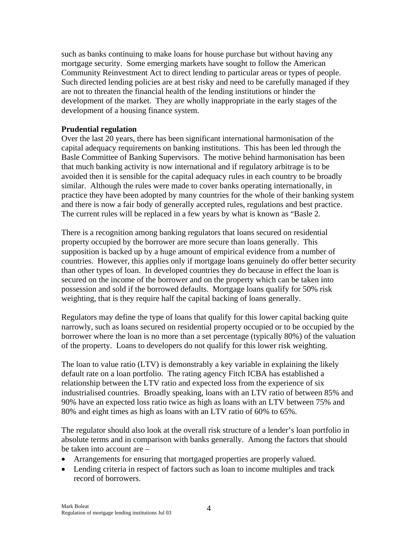such as banks continuing to make loans for house purchase but without having any mortgage security. Some emerging markets have sought to follow the American Community Reinvestment Act to direct lending to particular areas or types of people. Such directed lending policies are at best risky and need to be carefully managed if they are not to threaten the financial health of the lending institutions or hinder the development of the market. They are wholly inappropriate in the early stages of the development of a housing finance system.

#### **Prudential regulation**

Over the last 20 years, there has been significant international harmonisation of the capital adequacy requirements on banking institutions. This has been led through the Basle Committee of Banking Supervisors. The motive behind harmonisation has been that much banking activity is now international and if regulatory arbitrage is to be avoided then it is sensible for the capital adequacy rules in each country to be broadly similar. Although the rules were made to cover banks operating internationally, in practice they have been adopted by many countries for the whole of their banking system and there is now a fair body of generally accepted rules, regulations and best practice. The current rules will be replaced in a few years by what is known as "Basle 2.

There is a recognition among banking regulators that loans secured on residential property occupied by the borrower are more secure than loans generally. This supposition is backed up by a huge amount of empirical evidence from a number of countries. However, this applies only if mortgage loans genuinely do offer better security than other types of loan. In developed countries they do because in effect the loan is secured on the income of the borrower and on the property which can be taken into possession and sold if the borrowed defaults. Mortgage loans qualify for 50% risk weighting, that is they require half the capital backing of loans generally.

Regulators may define the type of loans that qualify for this lower capital backing quite narrowly, such as loans secured on residential property occupied or to be occupied by the borrower where the loan is no more than a set percentage (typically 80%) of the valuation of the property. Loans to developers do not qualify for this lower risk weighting.

The loan to value ratio (LTV) is demonstrably a key variable in explaining the likely default rate on a loan portfolio. The rating agency Fitch ICBA has established a relationship between the LTV ratio and expected loss from the experience of six industrialised countries. Broadly speaking, loans with an LTV ratio of between 85% and 90% have an expected loss ratio twice as high as loans with an LTV between 75% and 80% and eight times as high as loans with an LTV ratio of 60% to 65%.

The regulator should also look at the overall risk structure of a lender's loan portfolio in absolute terms and in comparison with banks generally. Among the factors that should be taken into account are –

- Arrangements for ensuring that mortgaged properties are properly valued.
- Lending criteria in respect of factors such as loan to income multiples and track record of borrowers.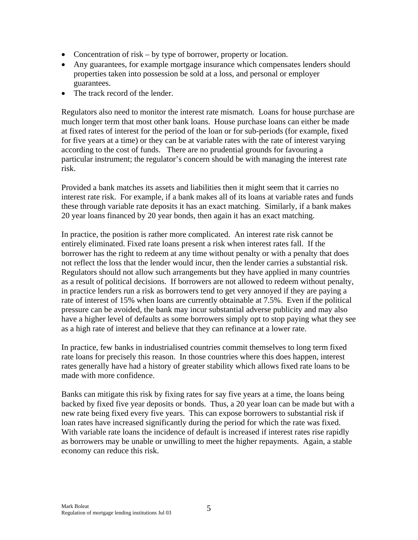- Concentration of risk by type of borrower, property or location.
- Any guarantees, for example mortgage insurance which compensates lenders should properties taken into possession be sold at a loss, and personal or employer guarantees.
- The track record of the lender.

Regulators also need to monitor the interest rate mismatch. Loans for house purchase are much longer term that most other bank loans. House purchase loans can either be made at fixed rates of interest for the period of the loan or for sub-periods (for example, fixed for five years at a time) or they can be at variable rates with the rate of interest varying according to the cost of funds. There are no prudential grounds for favouring a particular instrument; the regulator's concern should be with managing the interest rate risk.

Provided a bank matches its assets and liabilities then it might seem that it carries no interest rate risk. For example, if a bank makes all of its loans at variable rates and funds these through variable rate deposits it has an exact matching. Similarly, if a bank makes 20 year loans financed by 20 year bonds, then again it has an exact matching.

In practice, the position is rather more complicated. An interest rate risk cannot be entirely eliminated. Fixed rate loans present a risk when interest rates fall. If the borrower has the right to redeem at any time without penalty or with a penalty that does not reflect the loss that the lender would incur, then the lender carries a substantial risk. Regulators should not allow such arrangements but they have applied in many countries as a result of political decisions. If borrowers are not allowed to redeem without penalty, in practice lenders run a risk as borrowers tend to get very annoyed if they are paying a rate of interest of 15% when loans are currently obtainable at 7.5%. Even if the political pressure can be avoided, the bank may incur substantial adverse publicity and may also have a higher level of defaults as some borrowers simply opt to stop paying what they see as a high rate of interest and believe that they can refinance at a lower rate.

In practice, few banks in industrialised countries commit themselves to long term fixed rate loans for precisely this reason. In those countries where this does happen, interest rates generally have had a history of greater stability which allows fixed rate loans to be made with more confidence.

Banks can mitigate this risk by fixing rates for say five years at a time, the loans being backed by fixed five year deposits or bonds. Thus, a 20 year loan can be made but with a new rate being fixed every five years. This can expose borrowers to substantial risk if loan rates have increased significantly during the period for which the rate was fixed. With variable rate loans the incidence of default is increased if interest rates rise rapidly as borrowers may be unable or unwilling to meet the higher repayments. Again, a stable economy can reduce this risk.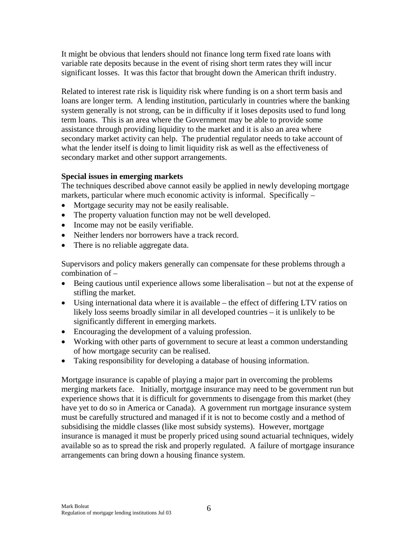It might be obvious that lenders should not finance long term fixed rate loans with variable rate deposits because in the event of rising short term rates they will incur significant losses. It was this factor that brought down the American thrift industry.

Related to interest rate risk is liquidity risk where funding is on a short term basis and loans are longer term. A lending institution, particularly in countries where the banking system generally is not strong, can be in difficulty if it loses deposits used to fund long term loans. This is an area where the Government may be able to provide some assistance through providing liquidity to the market and it is also an area where secondary market activity can help. The prudential regulator needs to take account of what the lender itself is doing to limit liquidity risk as well as the effectiveness of secondary market and other support arrangements.

# **Special issues in emerging markets**

The techniques described above cannot easily be applied in newly developing mortgage markets, particular where much economic activity is informal. Specifically –

- Mortgage security may not be easily realisable.
- The property valuation function may not be well developed.
- Income may not be easily verifiable.
- Neither lenders nor borrowers have a track record.
- There is no reliable aggregate data.

Supervisors and policy makers generally can compensate for these problems through a combination of –

- Being cautious until experience allows some liberalisation but not at the expense of stifling the market.
- Using international data where it is available the effect of differing LTV ratios on likely loss seems broadly similar in all developed countries – it is unlikely to be significantly different in emerging markets.
- Encouraging the development of a valuing profession.
- Working with other parts of government to secure at least a common understanding of how mortgage security can be realised.
- Taking responsibility for developing a database of housing information.

Mortgage insurance is capable of playing a major part in overcoming the problems merging markets face. Initially, mortgage insurance may need to be government run but experience shows that it is difficult for governments to disengage from this market (they have yet to do so in America or Canada). A government run mortgage insurance system must be carefully structured and managed if it is not to become costly and a method of subsidising the middle classes (like most subsidy systems). However, mortgage insurance is managed it must be properly priced using sound actuarial techniques, widely available so as to spread the risk and properly regulated. A failure of mortgage insurance arrangements can bring down a housing finance system.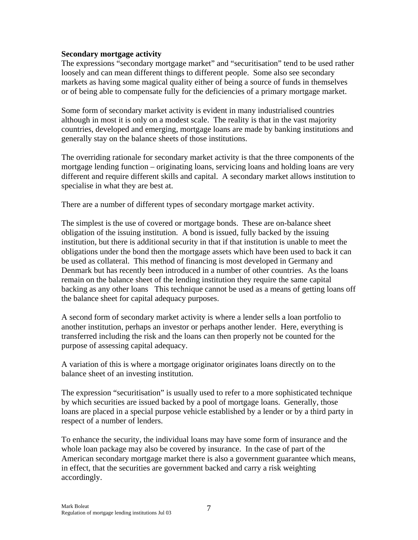#### **Secondary mortgage activity**

The expressions "secondary mortgage market" and "securitisation" tend to be used rather loosely and can mean different things to different people. Some also see secondary markets as having some magical quality either of being a source of funds in themselves or of being able to compensate fully for the deficiencies of a primary mortgage market.

Some form of secondary market activity is evident in many industrialised countries although in most it is only on a modest scale. The reality is that in the vast majority countries, developed and emerging, mortgage loans are made by banking institutions and generally stay on the balance sheets of those institutions.

The overriding rationale for secondary market activity is that the three components of the mortgage lending function – originating loans, servicing loans and holding loans are very different and require different skills and capital. A secondary market allows institution to specialise in what they are best at.

There are a number of different types of secondary mortgage market activity.

The simplest is the use of covered or mortgage bonds. These are on-balance sheet obligation of the issuing institution. A bond is issued, fully backed by the issuing institution, but there is additional security in that if that institution is unable to meet the obligations under the bond then the mortgage assets which have been used to back it can be used as collateral. This method of financing is most developed in Germany and Denmark but has recently been introduced in a number of other countries. As the loans remain on the balance sheet of the lending institution they require the same capital backing as any other loans This technique cannot be used as a means of getting loans off the balance sheet for capital adequacy purposes.

A second form of secondary market activity is where a lender sells a loan portfolio to another institution, perhaps an investor or perhaps another lender. Here, everything is transferred including the risk and the loans can then properly not be counted for the purpose of assessing capital adequacy.

A variation of this is where a mortgage originator originates loans directly on to the balance sheet of an investing institution.

The expression "securitisation" is usually used to refer to a more sophisticated technique by which securities are issued backed by a pool of mortgage loans. Generally, those loans are placed in a special purpose vehicle established by a lender or by a third party in respect of a number of lenders.

To enhance the security, the individual loans may have some form of insurance and the whole loan package may also be covered by insurance. In the case of part of the American secondary mortgage market there is also a government guarantee which means, in effect, that the securities are government backed and carry a risk weighting accordingly.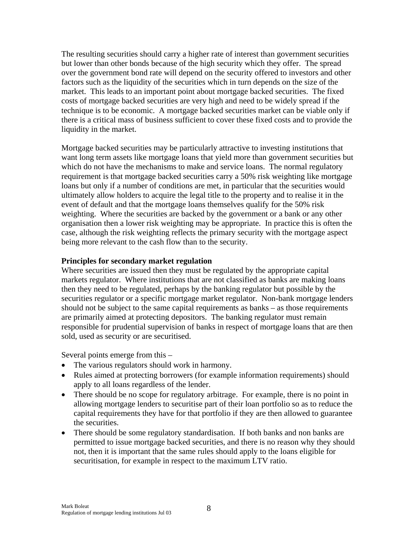The resulting securities should carry a higher rate of interest than government securities but lower than other bonds because of the high security which they offer. The spread over the government bond rate will depend on the security offered to investors and other factors such as the liquidity of the securities which in turn depends on the size of the market. This leads to an important point about mortgage backed securities. The fixed costs of mortgage backed securities are very high and need to be widely spread if the technique is to be economic. A mortgage backed securities market can be viable only if there is a critical mass of business sufficient to cover these fixed costs and to provide the liquidity in the market.

Mortgage backed securities may be particularly attractive to investing institutions that want long term assets like mortgage loans that yield more than government securities but which do not have the mechanisms to make and service loans. The normal regulatory requirement is that mortgage backed securities carry a 50% risk weighting like mortgage loans but only if a number of conditions are met, in particular that the securities would ultimately allow holders to acquire the legal title to the property and to realise it in the event of default and that the mortgage loans themselves qualify for the 50% risk weighting. Where the securities are backed by the government or a bank or any other organisation then a lower risk weighting may be appropriate. In practice this is often the case, although the risk weighting reflects the primary security with the mortgage aspect being more relevant to the cash flow than to the security.

#### **Principles for secondary market regulation**

Where securities are issued then they must be regulated by the appropriate capital markets regulator. Where institutions that are not classified as banks are making loans then they need to be regulated, perhaps by the banking regulator but possible by the securities regulator or a specific mortgage market regulator. Non-bank mortgage lenders should not be subject to the same capital requirements as banks – as those requirements are primarily aimed at protecting depositors. The banking regulator must remain responsible for prudential supervision of banks in respect of mortgage loans that are then sold, used as security or are securitised.

Several points emerge from this –

- The various regulators should work in harmony.
- Rules aimed at protecting borrowers (for example information requirements) should apply to all loans regardless of the lender.
- There should be no scope for regulatory arbitrage. For example, there is no point in allowing mortgage lenders to securitise part of their loan portfolio so as to reduce the capital requirements they have for that portfolio if they are then allowed to guarantee the securities.
- There should be some regulatory standardisation. If both banks and non banks are permitted to issue mortgage backed securities, and there is no reason why they should not, then it is important that the same rules should apply to the loans eligible for securitisation, for example in respect to the maximum LTV ratio.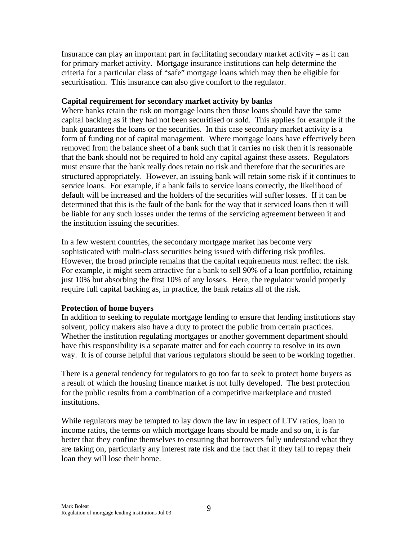Insurance can play an important part in facilitating secondary market activity – as it can for primary market activity. Mortgage insurance institutions can help determine the criteria for a particular class of "safe" mortgage loans which may then be eligible for securitisation. This insurance can also give comfort to the regulator.

#### **Capital requirement for secondary market activity by banks**

Where banks retain the risk on mortgage loans then those loans should have the same capital backing as if they had not been securitised or sold. This applies for example if the bank guarantees the loans or the securities. In this case secondary market activity is a form of funding not of capital management. Where mortgage loans have effectively been removed from the balance sheet of a bank such that it carries no risk then it is reasonable that the bank should not be required to hold any capital against these assets. Regulators must ensure that the bank really does retain no risk and therefore that the securities are structured appropriately. However, an issuing bank will retain some risk if it continues to service loans. For example, if a bank fails to service loans correctly, the likelihood of default will be increased and the holders of the securities will suffer losses. If it can be determined that this is the fault of the bank for the way that it serviced loans then it will be liable for any such losses under the terms of the servicing agreement between it and the institution issuing the securities.

In a few western countries, the secondary mortgage market has become very sophisticated with multi-class securities being issued with differing risk profiles. However, the broad principle remains that the capital requirements must reflect the risk. For example, it might seem attractive for a bank to sell 90% of a loan portfolio, retaining just 10% but absorbing the first 10% of any losses. Here, the regulator would properly require full capital backing as, in practice, the bank retains all of the risk.

# **Protection of home buyers**

In addition to seeking to regulate mortgage lending to ensure that lending institutions stay solvent, policy makers also have a duty to protect the public from certain practices. Whether the institution regulating mortgages or another government department should have this responsibility is a separate matter and for each country to resolve in its own way. It is of course helpful that various regulators should be seen to be working together.

There is a general tendency for regulators to go too far to seek to protect home buyers as a result of which the housing finance market is not fully developed. The best protection for the public results from a combination of a competitive marketplace and trusted institutions.

While regulators may be tempted to lay down the law in respect of LTV ratios, loan to income ratios, the terms on which mortgage loans should be made and so on, it is far better that they confine themselves to ensuring that borrowers fully understand what they are taking on, particularly any interest rate risk and the fact that if they fail to repay their loan they will lose their home.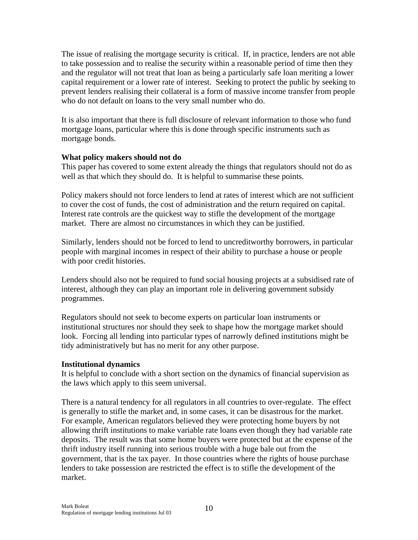The issue of realising the mortgage security is critical. If, in practice, lenders are not able to take possession and to realise the security within a reasonable period of time then they and the regulator will not treat that loan as being a particularly safe loan meriting a lower capital requirement or a lower rate of interest. Seeking to protect the public by seeking to prevent lenders realising their collateral is a form of massive income transfer from people who do not default on loans to the very small number who do.

It is also important that there is full disclosure of relevant information to those who fund mortgage loans, particular where this is done through specific instruments such as mortgage bonds.

#### **What policy makers should not do**

This paper has covered to some extent already the things that regulators should not do as well as that which they should do. It is helpful to summarise these points.

Policy makers should not force lenders to lend at rates of interest which are not sufficient to cover the cost of funds, the cost of administration and the return required on capital. Interest rate controls are the quickest way to stifle the development of the mortgage market. There are almost no circumstances in which they can be justified.

Similarly, lenders should not be forced to lend to uncreditworthy borrowers, in particular people with marginal incomes in respect of their ability to purchase a house or people with poor credit histories.

Lenders should also not be required to fund social housing projects at a subsidised rate of interest, although they can play an important role in delivering government subsidy programmes.

Regulators should not seek to become experts on particular loan instruments or institutional structures nor should they seek to shape how the mortgage market should look. Forcing all lending into particular types of narrowly defined institutions might be tidy administratively but has no merit for any other purpose.

# **Institutional dynamics**

It is helpful to conclude with a short section on the dynamics of financial supervision as the laws which apply to this seem universal.

There is a natural tendency for all regulators in all countries to over-regulate. The effect is generally to stifle the market and, in some cases, it can be disastrous for the market. For example, American regulators believed they were protecting home buyers by not allowing thrift institutions to make variable rate loans even though they had variable rate deposits. The result was that some home buyers were protected but at the expense of the thrift industry itself running into serious trouble with a huge bale out from the government, that is the tax payer. In those countries where the rights of house purchase lenders to take possession are restricted the effect is to stifle the development of the market.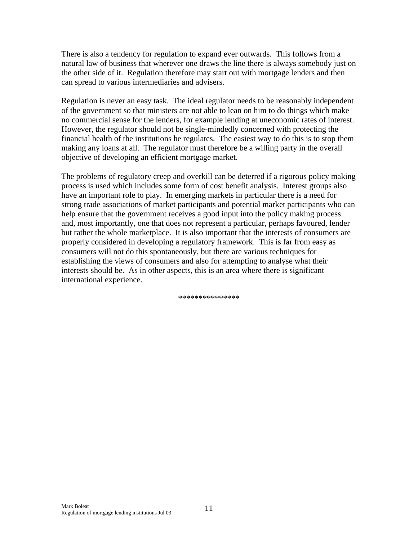There is also a tendency for regulation to expand ever outwards. This follows from a natural law of business that wherever one draws the line there is always somebody just on the other side of it. Regulation therefore may start out with mortgage lenders and then can spread to various intermediaries and advisers.

Regulation is never an easy task. The ideal regulator needs to be reasonably independent of the government so that ministers are not able to lean on him to do things which make no commercial sense for the lenders, for example lending at uneconomic rates of interest. However, the regulator should not be single-mindedly concerned with protecting the financial health of the institutions he regulates. The easiest way to do this is to stop them making any loans at all. The regulator must therefore be a willing party in the overall objective of developing an efficient mortgage market.

The problems of regulatory creep and overkill can be deterred if a rigorous policy making process is used which includes some form of cost benefit analysis. Interest groups also have an important role to play. In emerging markets in particular there is a need for strong trade associations of market participants and potential market participants who can help ensure that the government receives a good input into the policy making process and, most importantly, one that does not represent a particular, perhaps favoured, lender but rather the whole marketplace. It is also important that the interests of consumers are properly considered in developing a regulatory framework. This is far from easy as consumers will not do this spontaneously, but there are various techniques for establishing the views of consumers and also for attempting to analyse what their interests should be. As in other aspects, this is an area where there is significant international experience.

\*\*\*\*\*\*\*\*\*\*\*\*\*\*\*